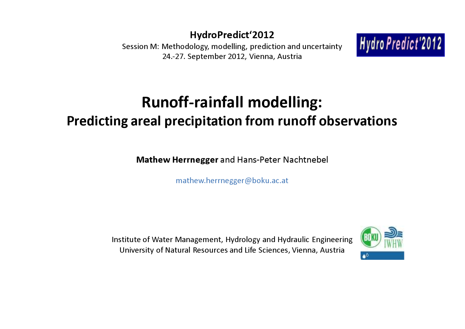### HydroPredict'2012

 Session M: Methodology, modelling, prediction and uncertainty24.‐27. September 2012, Vienna, Austria



# Runoff-rainfall modelling:Predicting areal precipitation from runoff observations

Mathew Herrnegger and Hans-Peter Nachtnebel

mathew.herrnegger@boku.ac.at

Institute of Water Management, Hydrology and Hydraulic EngineeringUniversity of Natural Resources and Life Sciences, Vienna, Austria

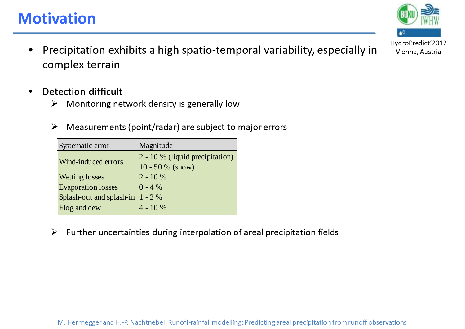#### M. Herrnegger and H.-P. Nachtnebel: Runoff-rainfall modelling: Predicting areal precipitation from runoff observations

**Motivation** 

- •Precipitation exhibits a high spatio-temporal variability, especially in Vienna, Austria complex terrain
- • Detection difficult
	- $\blacktriangleright$ Monitoring network density is generally low

Systematic error Magnitude

Wetting losses 2 - 10 %

Splash-out and splash-in 1 - 2 %

Evaporation losses

Wind-induced errors

 $\blacktriangleright$ Measurements (point/radar) are subject to major errors

10 - 50 % (snow)

 $0 - 4 %$ 

| Flog and dew | $4 - 10\%$ |                                                                                           |
|--------------|------------|-------------------------------------------------------------------------------------------|
|              |            | $\triangleright$ Further uncertainties during interpolation of areal precipitation fields |

2 - 10 % (liquid precipitation)

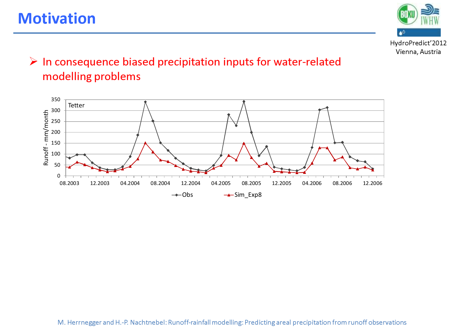# **Motivation**



### $\triangleright$  In consequence biased precipitation inputs for water-related modelling problems

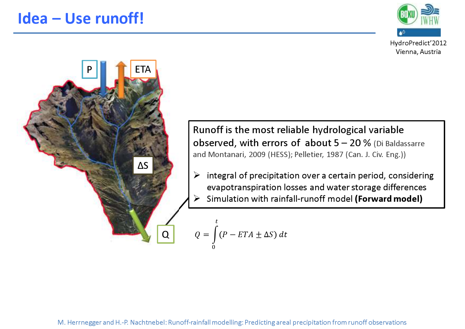



Runoff is the most reliable hydrological variable observed, with errors of about  $5 - 20$  % (Di Baldassarre and Montanari, 2009 (HESS); Pelletier, 1987 (Can. J. Civ. Eng.))

Integral of precipitation over a certain period, considering<br>
successive precipitation lessons and unter stamps differences evapotranspiration losses and water storage differences Simulation with rainfall-runoff model (Forward model)  $\blacktriangleright$ 

$$
Q = \int_{0}^{t} (P - ETA \pm \Delta S) dt
$$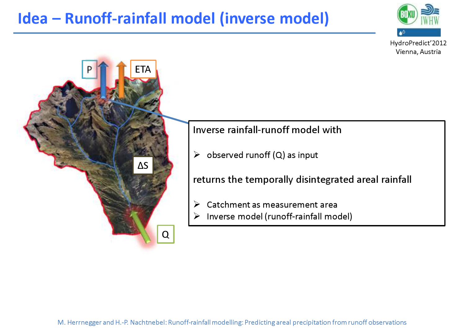# Idea – Runoff-rainfall model (inverse model)



P ETAΔSQ $\blacktriangleright$ 

### Inverse rainfall-runoff model with

 $\triangleright$  observed runoff (Q) as input

returns the temporally disintegrated areal rainfall

- S Catchment as measurement area
- Inverse model (runoff-rainfall model)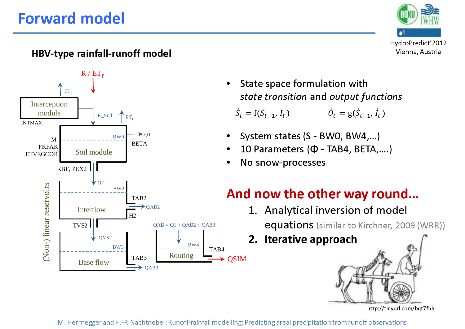# Forward model







• State space formulation with state transition and output functions

 $\dot{S}_t = f(\dot{S}_{t-1}, \dot{I}_t)$  $\dot{\theta}_t = g(\dot{S}_{t-1}, \dot{I}_t)$ 

- •System states (S - BW0, BW4,…)
- •10 Parameters (Φ - TAB4, BETA,….)
- •No snow-processes

### And now the other way round…

- 1. Analytical inversion of model equations (similar to Kirchner, 2009 (WRR))
- 2. Iterative approach

http://tinyurl.com/bqt7fhh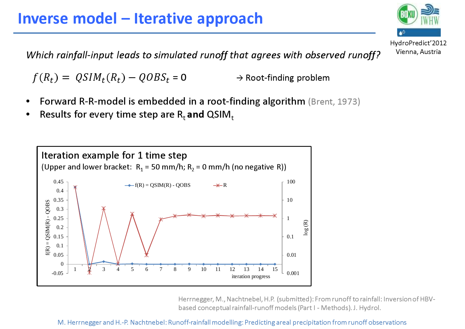# Inverse model – Iterative approach

Which rainfall-input leads to simulated runoff that agrees with observed runoff?

 $f(R_t) = \text{QSIM}_t(R_t) - \text{QOBS}$  $t = 0$  $\rightarrow$  Root-finding problem

- •• Forward R-R-model is embedded in a root-finding algorithm (Brent, 1973)<br>• Pesulta far averutings star are Buard OSIM
- •• Results for every time step are  $\mathsf{R}_{\mathsf{t}}$  and QSIM $_{\mathsf{t}}$



Herrnegger, M., Nachtnebel, H.P. (submitted): From runoff to rainfall: Inversion of HBVbased conceptual rainfall-runoff models (Part I - Methods). J. Hydrol.

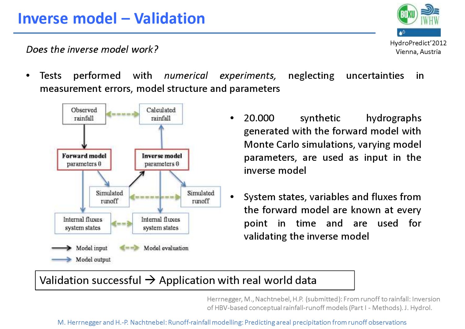HydroPredict'2012Vienna, Austria

Does the inverse model work?

•• Tests performed with numerical experiments, neglecting uncertainties in measurement errors, model structure and parameters



- $\bullet$  20.000 synthetic hydrographsgenerated with the forward model with Monte Carlo simulations, varying modelparameters, are used as input in theinverse model
- $\bullet$  System states, variables and fluxes from the forward model are known at every point in time and are used forvalidating the inverse model

# Validation successful  $\rightarrow$  Application with real world data

Herrnegger, M., Nachtnebel, H.P. (submitted): From runoff to rainfall: Inversion of HBV-based conceptual rainfall-runoff models (Part I - Methods). J. Hydrol.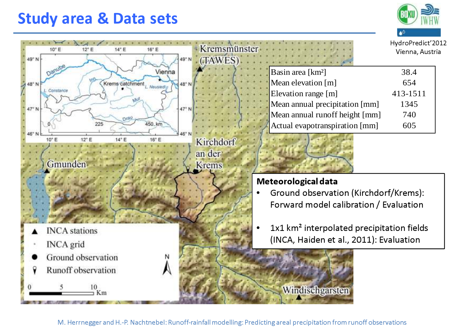### Study area & Data sets



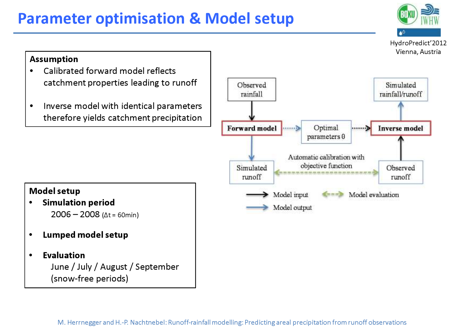# Parameter optimisation & Model setup



### Assumption• Calibrated forward model reflects catchment properties leading to runoff Observed rainfall Inverse model with identical parameters •therefore yields catchment precipitation**Forward** model Simulated runoff Model setup• Simulation period • 2006 – 2008 (Δt = 60min) Lumped model setup• Evaluation June / July / August / September (snow-free periods)

•

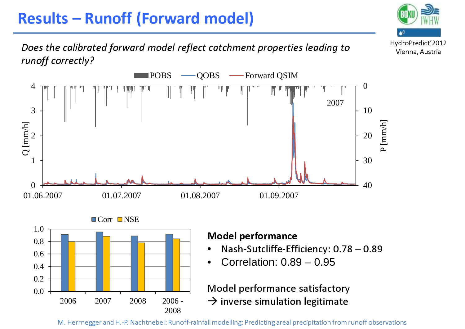# Results – Runoff (Forward model)

Does the calibrated forward model reflect catchment properties leading to runoff correctly?

HydroPredict'2012Vienna, Austria

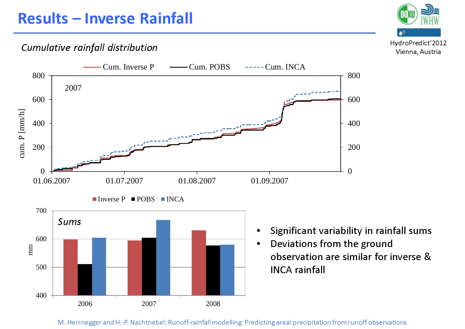### Cumulative rainfall distribution



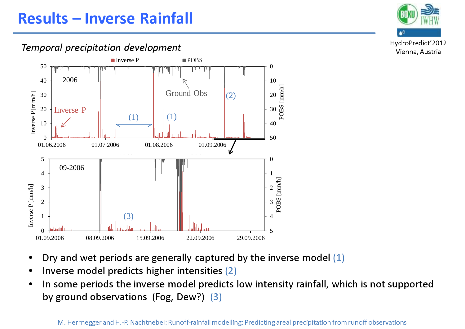### Temporal precipitation development



- •Dry and wet periods are generally captured by the inverse model (1)
- •Inverse model predicts higher intensities (2)
- • In some periods the inverse model predicts low intensity rainfall, which is not supported by ground observations (Fog, Dew?) (3)



HydroPredict'2012Vienna, Austria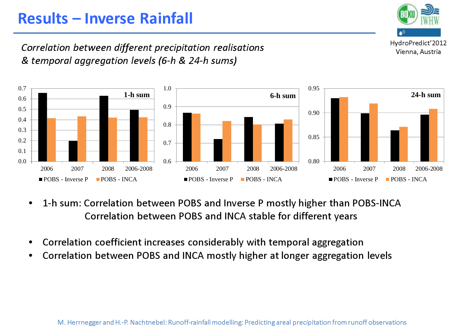# Results – Inverse Rainfall

HydroPredict'2012Vienna, Austria

Correlation between different precipitation realisations& temporal aggregation levels (6-h & 24-h sums)



- • 1-h sum: Correlation between POBS and Inverse P mostly higher than POBS-INCACorrelation between POBS and INCA stable for different years
- •Correlation coefficient increases considerably with temporal aggregation
- Correlation between POBS and INCA mostly higher at longer aggregation levels•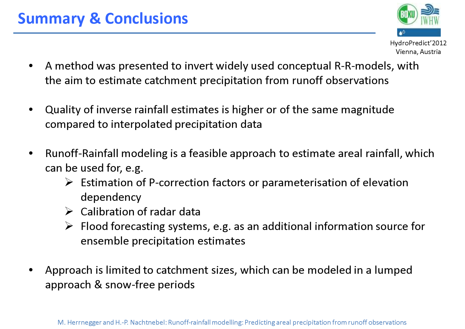# Summary & Conclusions

- HydroPredict'2012Vienna, Austria
- $\bullet$  A method was presented to invert widely used conceptual R-R-models, with the aim to estimate catchment precipitation from runoff observations
- • Quality of inverse rainfall estimates is higher or of the same magnitude compared to interpolated precipitation data
- $\bullet$  Runoff-Rainfall modeling is a feasible approach to estimate areal rainfall, which can be used for, e.g.
	- Estimation of P-correction factors or parameterisation of elevation<br>denoming the process: dependency
	- $\triangleright$  Calibration of radar data
	- $\triangleright$  Flood forecasting systems, e.g. as an additional information source for<br>example example intime activates ensemble precipitation estimates
- • Approach is limited to catchment sizes, which can be modeled in a lumped approach & snow-free periods